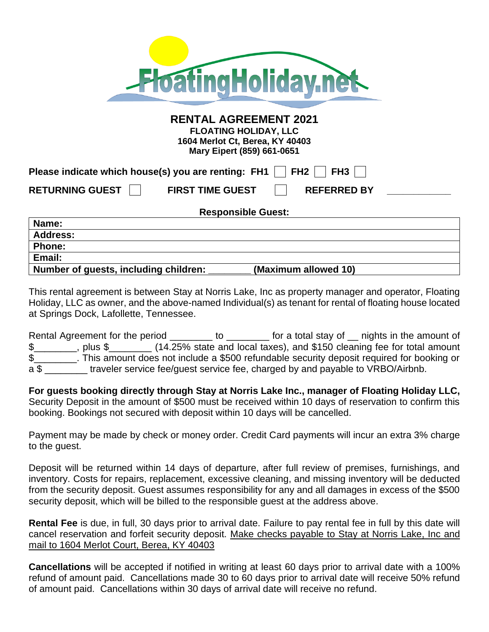| <b>FloatingHoliday.net</b>                                                                                                    |
|-------------------------------------------------------------------------------------------------------------------------------|
| <b>RENTAL AGREEMENT 2021</b><br><b>FLOATING HOLIDAY, LLC</b><br>1604 Merlot Ct, Berea, KY 40403<br>Mary Eipert (859) 661-0651 |
| FH2<br>Please indicate which house(s) you are renting: FH1  <br>FH3                                                           |
| RETURNING GUEST    <br><b>FIRST TIME GUEST</b><br><b>REFERRED BY</b>                                                          |
| <b>Responsible Guest:</b>                                                                                                     |
| Name:                                                                                                                         |
| <b>Address:</b>                                                                                                               |
| <b>Phone:</b>                                                                                                                 |
| Email:                                                                                                                        |
| Number of guests, including children:<br>(Maximum allowed 10)                                                                 |

This rental agreement is between Stay at Norris Lake, Inc as property manager and operator, Floating Holiday, LLC as owner, and the above-named Individual(s) as tenant for rental of floating house located at Springs Dock, Lafollette, Tennessee.

Rental Agreement for the period \_\_\_\_\_\_\_\_ to \_\_\_\_\_\_\_ for a total stay of \_\_ nights in the amount of \$\_\_\_\_\_\_\_\_, plus \$\_\_\_\_\_\_\_\_ (14.25% state and local taxes), and \$150 cleaning fee for total amount \$\_\_\_\_\_\_\_\_. This amount does not include a \$500 refundable security deposit required for booking or a \$ traveler service fee/guest service fee, charged by and payable to VRBO/Airbnb.

**For guests booking directly through Stay at Norris Lake Inc., manager of Floating Holiday LLC,**  Security Deposit in the amount of \$500 must be received within 10 days of reservation to confirm this booking. Bookings not secured with deposit within 10 days will be cancelled.

Payment may be made by check or money order. Credit Card payments will incur an extra 3% charge to the guest.

Deposit will be returned within 14 days of departure, after full review of premises, furnishings, and inventory. Costs for repairs, replacement, excessive cleaning, and missing inventory will be deducted from the security deposit. Guest assumes responsibility for any and all damages in excess of the \$500 security deposit, which will be billed to the responsible guest at the address above.

**Rental Fee** is due, in full, 30 days prior to arrival date. Failure to pay rental fee in full by this date will cancel reservation and forfeit security deposit. Make checks payable to Stay at Norris Lake, Inc and mail to 1604 Merlot Court, Berea, KY 40403

**Cancellations** will be accepted if notified in writing at least 60 days prior to arrival date with a 100% refund of amount paid. Cancellations made 30 to 60 days prior to arrival date will receive 50% refund of amount paid. Cancellations within 30 days of arrival date will receive no refund.